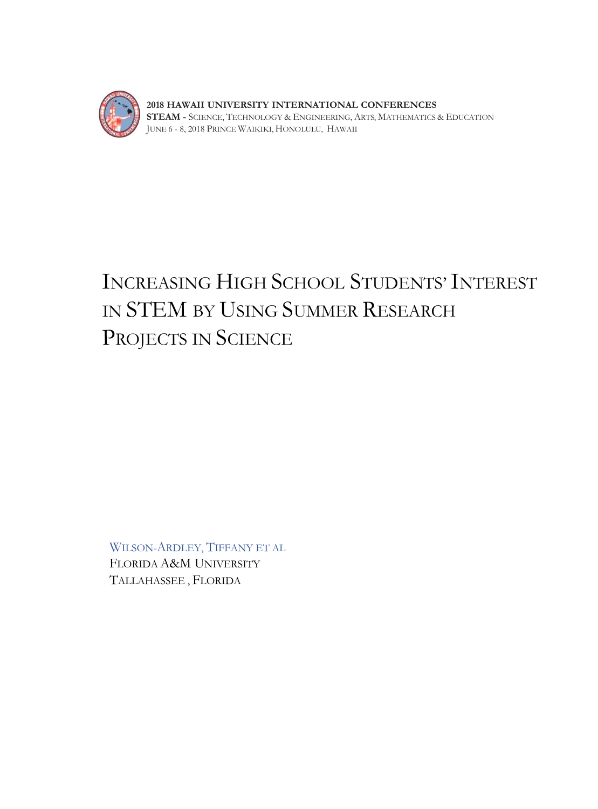

**2018 HAWAII UNIVERSITY INTERNATIONAL CONFERENCES STEAM -** SCIENCE, TECHNOLOGY & ENGINEERING, ARTS, MATHEMATICS & EDUCATION JUNE 6 - 8, 2018 PRINCE WAIKIKI, HONOLULU, HAWAII

# INCREASING HIGH SCHOOL STUDENTS' INTEREST IN STEM BY USING SUMMER RESEARCH PROJECTS IN SCIENCE

WILSON-ARDLEY, TIFFANY ET AL FLORIDA A&M UNIVERSITY TALLAHASSEE , FLORIDA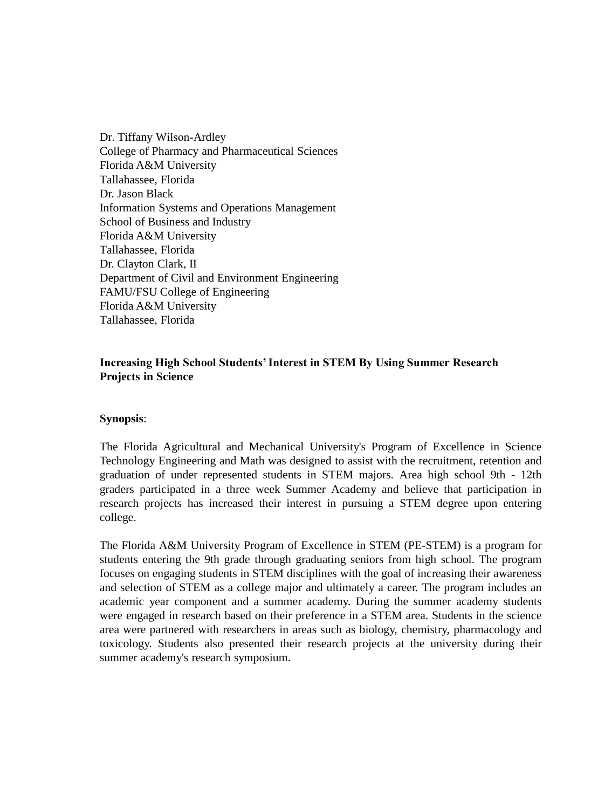Dr. Tiffany Wilson-Ardley College of Pharmacy and Pharmaceutical Sciences Florida A&M University Tallahassee, Florida Dr. Jason Black Information Systems and Operations Management School of Business and Industry Florida A&M University Tallahassee, Florida Dr. Clayton Clark, II Department of Civil and Environment Engineering FAMU/FSU College of Engineering Florida A&M University Tallahassee, Florida

## **Increasing High School Students' Interest in STEM By Using Summer Research Projects in Science**

### **Synopsis**:

The Florida Agricultural and Mechanical University's Program of Excellence in Science Technology Engineering and Math was designed to assist with the recruitment, retention and graduation of under represented students in STEM majors. Area high school 9th - 12th graders participated in a three week Summer Academy and believe that participation in research projects has increased their interest in pursuing a STEM degree upon entering college.

The Florida A&M University Program of Excellence in STEM (PE-STEM) is a program for students entering the 9th grade through graduating seniors from high school. The program focuses on engaging students in STEM disciplines with the goal of increasing their awareness and selection of STEM as a college major and ultimately a career. The program includes an academic year component and a summer academy. During the summer academy students were engaged in research based on their preference in a STEM area. Students in the science area were partnered with researchers in areas such as biology, chemistry, pharmacology and toxicology. Students also presented their research projects at the university during their summer academy's research symposium.